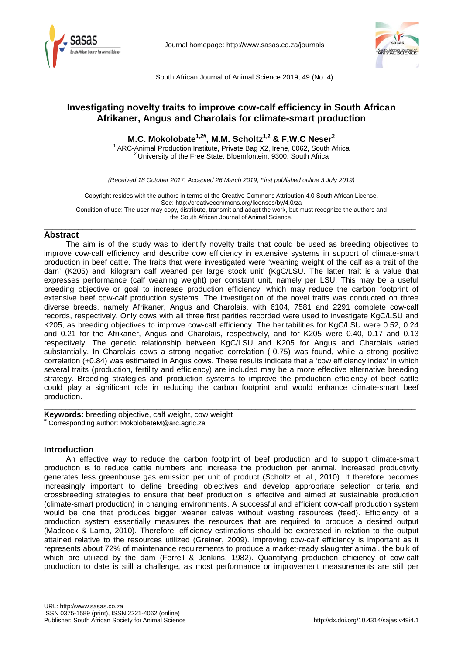

Journal homepage:<http://www.sasas.co.za/journals>



South African Journal of Animal Science 2019, 49 (No. 4)

# **Investigating novelty traits to improve cow-calf efficiency in South African Afrikaner, Angus and Charolais for climate-smart production**

**M.C. Mokolobate1,2#, M.M. Scholtz1,2 & F.W.C Neser<sup>2</sup>**

<sup>1</sup> ARC-Animal Production Institute, Private Bag X2, Irene, 0062, South Africa <sup>2</sup> University of the Free State, Bloemfontein, 9300, South Africa

*(Received 18 October 2017; Accepted 26 March 2019; First published online 3 July 2019)*

Copyright resides with the authors in terms of the Creative Commons Attribution 4.0 South African License. See: http://creativecommons.org/licenses/by/4.0/za Condition of use: The user may copy, distribute, transmit and adapt the work, but must recognize the authors and the South African Journal of Animal Science.

#### \_\_\_\_\_\_\_\_\_\_\_\_\_\_\_\_\_\_\_\_\_\_\_\_\_\_\_\_\_\_\_\_\_\_\_\_\_\_\_\_\_\_\_\_\_\_\_\_\_\_\_\_\_\_\_\_\_\_\_\_\_\_\_\_\_\_\_\_\_\_\_\_\_\_\_\_\_\_\_\_\_\_\_\_\_\_ **Abstract**

The aim is of the study was to identify novelty traits that could be used as breeding objectives to improve cow-calf efficiency and describe cow efficiency in extensive systems in support of climate-smart production in beef cattle. The traits that were investigated were 'weaning weight of the calf as a trait of the dam' (K205) and 'kilogram calf weaned per large stock unit' (KgC/LSU. The latter trait is a value that expresses performance (calf weaning weight) per constant unit, namely per LSU. This may be a useful breeding objective or goal to increase production efficiency, which may reduce the carbon footprint of extensive beef cow-calf production systems. The investigation of the novel traits was conducted on three diverse breeds, namely Afrikaner, Angus and Charolais, with 6104, 7581 and 2291 complete cow-calf records, respectively. Only cows with all three first parities recorded were used to investigate KgC/LSU and K205, as breeding objectives to improve cow-calf efficiency. The heritabilities for KgC/LSU were 0.52, 0.24 and 0.21 for the Afrikaner, Angus and Charolais, respectively, and for K205 were 0.40, 0.17 and 0.13 respectively. The genetic relationship between KgC/LSU and K205 for Angus and Charolais varied substantially. In Charolais cows a strong negative correlation (-0.75) was found, while a strong positive correlation (+0.84) was estimated in Angus cows. These results indicate that a 'cow efficiency index' in which several traits (production, fertility and efficiency) are included may be a more effective alternative breeding strategy. Breeding strategies and production systems to improve the production efficiency of beef cattle could play a significant role in reducing the carbon footprint and would enhance climate-smart beef production.

\_\_\_\_\_\_\_\_\_\_\_\_\_\_\_\_\_\_\_\_\_\_\_\_\_\_\_\_\_\_\_\_\_\_\_\_\_\_\_\_\_\_\_\_\_\_\_\_\_\_\_\_\_\_\_\_\_\_\_\_\_\_\_\_\_\_\_\_\_\_\_\_\_\_\_\_\_\_\_\_\_\_\_\_\_\_ **Keywords:** breeding objective, calf weight, cow weight # Corresponding author[: MokolobateM@arc.agric.za](mailto:MokolobateM@arc.agric.za)

## **Introduction**

An effective way to reduce the carbon footprint of beef production and to support climate-smart production is to reduce cattle numbers and increase the production per animal. Increased productivity generates less greenhouse gas emission per unit of product (Scholtz et. al., 2010). It therefore becomes increasingly important to define breeding objectives and develop appropriate selection criteria and crossbreeding strategies to ensure that beef production is effective and aimed at sustainable production (climate-smart production) in changing environments. A successful and efficient cow-calf production system would be one that produces bigger weaner calves without wasting resources (feed). Efficiency of a production system essentially measures the resources that are required to produce a desired output (Maddock & Lamb, 2010). Therefore, efficiency estimations should be expressed in relation to the output attained relative to the resources utilized (Greiner, 2009). Improving cow-calf efficiency is important as it represents about 72% of maintenance requirements to produce a market-ready slaughter animal, the bulk of which are utilized by the dam (Ferrell & Jenkins, 1982). Quantifying production efficiency of cow-calf production to date is still a challenge, as most performance or improvement measurements are still per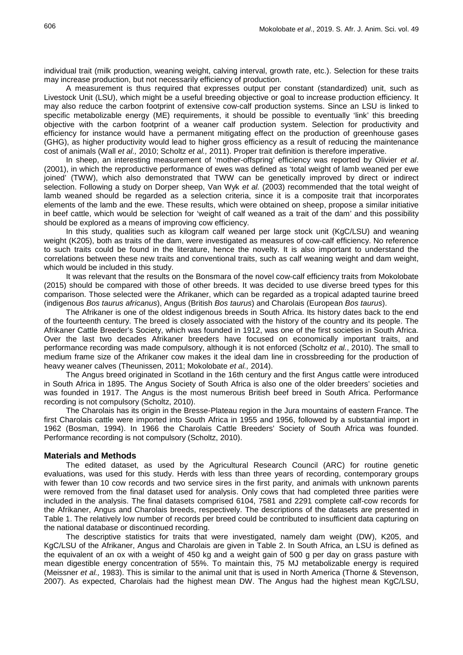individual trait (milk production, weaning weight, calving interval, growth rate, etc.). Selection for these traits may increase production, but not necessarily efficiency of production.

A measurement is thus required that expresses output per constant (standardized) unit, such as Livestock Unit (LSU), which might be a useful breeding objective or goal to increase production efficiency. It may also reduce the carbon footprint of extensive cow-calf production systems. Since an LSU is linked to specific metabolizable energy (ME) requirements, it should be possible to eventually 'link' this breeding objective with the carbon footprint of a weaner calf production system. Selection for productivity and efficiency for instance would have a permanent mitigating effect on the production of greenhouse gases (GHG), as higher productivity would lead to higher gross efficiency as a result of reducing the maintenance cost of animals (Wall *et al.,* 2010; Scholtz *et al.,* 2011). Proper trait definition is therefore imperative.

In sheep, an interesting measurement of 'mother-offspring' efficiency was reported by Olivier *et al*. (2001), in which the reproductive performance of ewes was defined as 'total weight of lamb weaned per ewe joined' (TWW), which also demonstrated that TWW can be genetically improved by direct or indirect selection. Following a study on Dorper sheep, Van Wyk *et al.* (2003) recommended that the total weight of lamb weaned should be regarded as a selection criteria, since it is a composite trait that incorporates elements of the lamb and the ewe. These results, which were obtained on sheep, propose a similar initiative in beef cattle, which would be selection for 'weight of calf weaned as a trait of the dam' and this possibility should be explored as a means of improving cow efficiency.

In this study, qualities such as kilogram calf weaned per large stock unit (KgC/LSU) and weaning weight (K205), both as traits of the dam, were investigated as measures of cow-calf efficiency. No reference to such traits could be found in the literature, hence the novelty. It is also important to understand the correlations between these new traits and conventional traits, such as calf weaning weight and dam weight, which would be included in this study.

It was relevant that the results on the Bonsmara of the novel cow-calf efficiency traits from Mokolobate (2015) should be compared with those of other breeds. It was decided to use diverse breed types for this comparison. Those selected were the Afrikaner, which can be regarded as a tropical adapted taurine breed (indigenous *Bos taurus africanus*), Angus (British *Bos taurus*) and Charolais (European *Bos taurus*).

The Afrikaner is one of the oldest indigenous breeds in South Africa. Its history dates back to the end of the fourteenth century. The breed is closely associated with the history of the country and its people. The Afrikaner Cattle Breeder's Society, which was founded in 1912, was one of the first societies in South Africa. Over the last two decades Afrikaner breeders have focused on economically important traits, and performance recording was made compulsory, although it is not enforced (Scholtz *et al.*, 2010). The small to medium frame size of the Afrikaner cow makes it the ideal dam line in crossbreeding for the production of heavy weaner calves (Theunissen, 2011; Mokolobate *et al.,* 2014).

The Angus breed originated in Scotland in the 16th century and the first Angus cattle were introduced in South Africa in 1895. The Angus Society of South Africa is also one of the older breeders' societies and was founded in 1917. The Angus is the most numerous British beef breed in South Africa. Performance recording is not compulsory (Scholtz, 2010).

The Charolais has its origin in the Bresse-Plateau region in the Jura mountains of eastern France. The first Charolais cattle were imported into South Africa in 1955 and 1956, followed by a substantial import in 1962 (Bosman, 1994). In 1966 the Charolais Cattle Breeders' Society of South Africa was founded. Performance recording is not compulsory (Scholtz, 2010).

### **Materials and Methods**

The edited dataset, as used by the Agricultural Research Council (ARC) for routine genetic evaluations, was used for this study. Herds with less than three years of recording, contemporary groups with fewer than 10 cow records and two service sires in the first parity, and animals with unknown parents were removed from the final dataset used for analysis. Only cows that had completed three parities were included in the analysis. The final datasets comprised 6104, 7581 and 2291 complete calf-cow records for the Afrikaner, Angus and Charolais breeds, respectively. The descriptions of the datasets are presented in Table 1. The relatively low number of records per breed could be contributed to insufficient data capturing on the national database or discontinued recording.

The descriptive statistics for traits that were investigated, namely dam weight (DW), K205, and KgC/LSU of the Afrikaner, Angus and Charolais are given in Table 2. In South Africa, an LSU is defined as the equivalent of an ox with a weight of 450 kg and a weight gain of 500 g per day on grass pasture with mean digestible energy concentration of 55%. To maintain this, 75 MJ metabolizable energy is required (Meissner *et al.,* 1983). This is similar to the animal unit that is used in North America (Thorne & Stevenson, 2007). As expected, Charolais had the highest mean DW. The Angus had the highest mean KgC/LSU,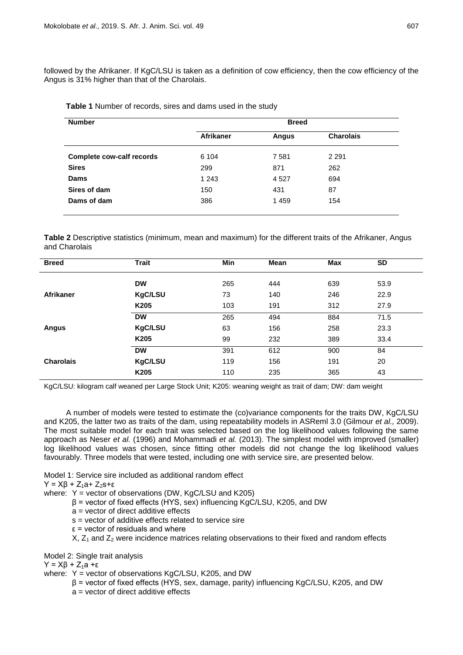followed by the Afrikaner. If KgC/LSU is taken as a definition of cow efficiency, then the cow efficiency of the Angus is 31% higher than that of the Charolais.

| <b>Number</b>                    | <b>Breed</b>     |              |                  |  |
|----------------------------------|------------------|--------------|------------------|--|
|                                  | <b>Afrikaner</b> | <b>Angus</b> | <b>Charolais</b> |  |
| <b>Complete cow-calf records</b> | 6 104            | 7581         | 2 2 9 1          |  |
| <b>Sires</b>                     | 299              | 871          | 262              |  |
| Dams                             | 1 2 4 3          | 4 5 2 7      | 694              |  |
| Sires of dam                     | 150              | 431          | 87               |  |
| Dams of dam                      | 386              | 1459         | 154              |  |

**Table 1** Number of records, sires and dams used in the study

**Table 2** Descriptive statistics (minimum, mean and maximum) for the different traits of the Afrikaner, Angus and Charolais

| <b>Breed</b>     | <b>Trait</b>   | Min | Mean | Max | <b>SD</b> |  |
|------------------|----------------|-----|------|-----|-----------|--|
|                  | <b>DW</b>      | 265 | 444  | 639 | 53.9      |  |
| Afrikaner        | <b>KgC/LSU</b> | 73  | 140  | 246 | 22.9      |  |
|                  | K205           | 103 | 191  | 312 | 27.9      |  |
|                  | <b>DW</b>      | 265 | 494  | 884 | 71.5      |  |
| <b>Angus</b>     | <b>KgC/LSU</b> | 63  | 156  | 258 | 23.3      |  |
|                  | K205           | 99  | 232  | 389 | 33.4      |  |
|                  | <b>DW</b>      | 391 | 612  | 900 | 84        |  |
| <b>Charolais</b> | <b>KgC/LSU</b> | 119 | 156  | 191 | 20        |  |
|                  | K205           | 110 | 235  | 365 | 43        |  |

KgC/LSU: kilogram calf weaned per Large Stock Unit; K205: weaning weight as trait of dam; DW: dam weight

A number of models were tested to estimate the (co)variance components for the traits DW, KgC/LSU and K205, the latter two as traits of the dam, using repeatability models in ASReml 3.0 (Gilmour *et al.,* 2009). The most suitable model for each trait was selected based on the log likelihood values following the same approach as Neser *et al.* (1996) and Mohammadi *et al.* (2013). The simplest model with improved (smaller) log likelihood values was chosen, since fitting other models did not change the log likelihood values favourably. Three models that were tested, including one with service sire, are presented below.

Model 1: Service sire included as additional random effect

 $Y = X\beta + Z_1a + Z_2s + ε$ 

where:  $Y =$  vector of observations (DW, KgC/LSU and K205)

- β = vector of fixed effects (HYS, sex) influencing KgC/LSU, K205, and DW
- a = vector of direct additive effects
- s = vector of additive effects related to service sire
- $\epsilon$  = vector of residuals and where

 $X$ ,  $Z_1$  and  $Z_2$  were incidence matrices relating observations to their fixed and random effects

Model 2: Single trait analysis

 $Y = Xβ + Z<sub>1</sub>a + ε$ 

where: Y = vector of observations KgC/LSU, K205, and DW

- β = vector of fixed effects (HYS, sex, damage, parity) influencing KgC/LSU, K205, and DW
- a = vector of direct additive effects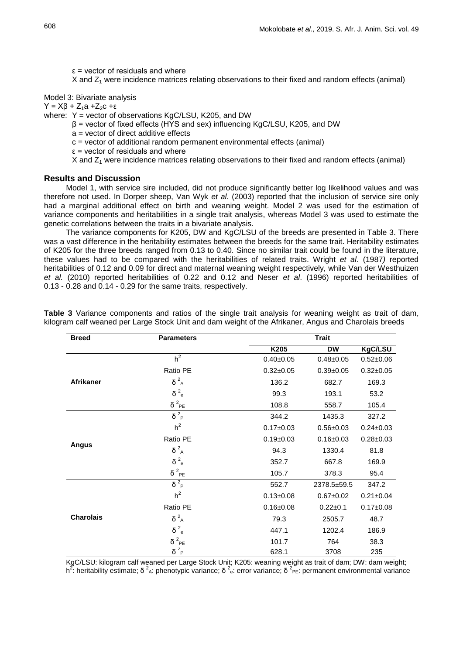$\epsilon$  = vector of residuals and where

X and  $Z_1$  were incidence matrices relating observations to their fixed and random effects (animal)

Model 3: Bivariate analysis

 $Y = Xβ + Z<sub>1</sub>a + Z<sub>2</sub>c + ε$ 

where: Y = vector of observations KgC/LSU, K205, and DW

β = vector of fixed effects (HYS and sex) influencing KgC/LSU, K205, and DW

a = vector of direct additive effects

c = vector of additional random permanent environmental effects (animal)

 $\epsilon$  = vector of residuals and where

X and  $Z_1$  were incidence matrices relating observations to their fixed and random effects (animal)

#### **Results and Discussion**

Model 1, with service sire included, did not produce significantly better log likelihood values and was therefore not used. In Dorper sheep, Van Wyk *et al*. (2003) reported that the inclusion of service sire only had a marginal additional effect on birth and weaning weight. Model 2 was used for the estimation of variance components and heritabilities in a single trait analysis, whereas Model 3 was used to estimate the genetic correlations between the traits in a bivariate analysis.

The variance components for K205, DW and KgC/LSU of the breeds are presented in Table 3. There was a vast difference in the heritability estimates between the breeds for the same trait. Heritability estimates of K205 for the three breeds ranged from 0.13 to 0.40. Since no similar trait could be found in the literature, these values had to be compared with the heritabilities of related traits. Wright *et al*. (1987*)* reported heritabilities of 0.12 and 0.09 for direct and maternal weaning weight respectively, while Van der Westhuizen *et al.* (2010) reported heritabilities of 0.22 and 0.12 and Neser *et al*. (1996) reported heritabilities of 0.13 - 0.28 and 0.14 - 0.29 for the same traits, respectively.

| <b>Breed</b>     | <b>Parameters</b>       | <b>Trait</b>    |                 |                 |
|------------------|-------------------------|-----------------|-----------------|-----------------|
|                  |                         | K205            | <b>DW</b>       | KgC/LSU         |
|                  | $h^2$                   | $0.40 \pm 0.05$ | $0.48 + 0.05$   | $0.52 \pm 0.06$ |
| Afrikaner        | Ratio PE                | $0.32 \pm 0.05$ | $0.39 + 0.05$   | $0.32 \pm 0.05$ |
|                  | $\delta^2_A$            | 136.2           | 682.7           | 169.3           |
|                  | 2e<br>δ                 | 99.3            | 193.1           | 53.2            |
|                  | $\delta^2_{PE}$         | 108.8           | 558.7           | 105.4           |
|                  | $\delta^2$ <sub>P</sub> | 344.2           | 1435.3          | 327.2           |
|                  | h <sup>2</sup>          | $0.17 \pm 0.03$ | $0.56 \pm 0.03$ | $0.24 \pm 0.03$ |
|                  | Ratio PE                | $0.19 \pm 0.03$ | $0.16 \pm 0.03$ | $0.28 + 0.03$   |
| <b>Angus</b>     | $\delta^2_A$            | 94.3            | 1330.4          | 81.8            |
|                  | 2e<br>δ                 | 352.7           | 667.8           | 169.9           |
|                  | $\delta^2$ PE           | 105.7           | 378.3           | 95.4            |
|                  | $\delta^2$ <sub>P</sub> | 552.7           | 2378.5±59.5     | 347.2           |
|                  | h <sup>2</sup>          | $0.13 \pm 0.08$ | $0.67 + 0.02$   | $0.21 \pm 0.04$ |
|                  | Ratio PE                | $0.16 \pm 0.08$ | $0.22 + 0.1$    | $0.17 \pm 0.08$ |
| <b>Charolais</b> | $\delta^2_A$            | 79.3            | 2505.7          | 48.7            |
|                  | 2e<br>δ                 | 447.1           | 1202.4          | 186.9           |
|                  | $\delta^2_{PE}$         | 101.7           | 764             | 38.3            |
|                  | $\delta^2$ <sub>P</sub> | 628.1           | 3708            | 235             |

**Table 3** Variance components and ratios of the single trait analysis for weaning weight as trait of dam, kilogram calf weaned per Large Stock Unit and dam weight of the Afrikaner, Angus and Charolais breeds

KgC/LSU: kilogram calf weaned per Large Stock Unit; K205: weaning weight as trait of dam; DW: dam weight; h<sup>2</sup>: heritability estimate; δ<sup>2</sup><sub>A</sub>: phenotypic variance; δ<sup>2</sup><sub>e</sub>: error variance; δ<sup>2</sup><sub>PE</sub>: permanent environmental variance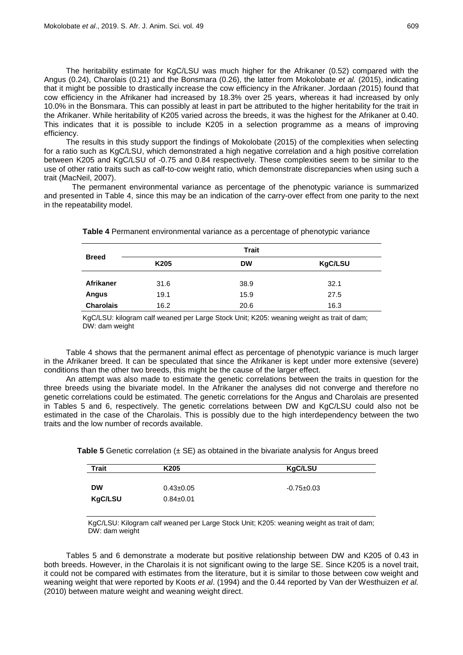The heritability estimate for KgC/LSU was much higher for the Afrikaner (0.52) compared with the Angus (0.24), Charolais (0.21) and the Bonsmara (0.26), the latter from Mokolobate *et al.* (2015), indicating that it might be possible to drastically increase the cow efficiency in the Afrikaner. Jordaan *(*2015) found that cow efficiency in the Afrikaner had increased by 18.3% over 25 years, whereas it had increased by only 10.0% in the Bonsmara. This can possibly at least in part be attributed to the higher heritability for the trait in the Afrikaner. While heritability of K205 varied across the breeds, it was the highest for the Afrikaner at 0.40. This indicates that it is possible to include K205 in a selection programme as a means of improving efficiency.

The results in this study support the findings of Mokolobate (2015) of the complexities when selecting for a ratio such as KgC/LSU, which demonstrated a high negative correlation and a high positive correlation between K205 and KgC/LSU of -0.75 and 0.84 respectively. These complexities seem to be similar to the use of other ratio traits such as calf-to-cow weight ratio, which demonstrate discrepancies when using such a trait (MacNeil, 2007).

The permanent environmental variance as percentage of the phenotypic variance is summarized and presented in Table 4, since this may be an indication of the carry-over effect from one parity to the next in the repeatability model.

|                  |                  | <b>Trait</b> |         |
|------------------|------------------|--------------|---------|
| <b>Breed</b>     | K <sub>205</sub> | <b>DW</b>    | KgC/LSU |
| <b>Afrikaner</b> | 31.6             | 38.9         | 32.1    |
| <b>Angus</b>     | 19.1             | 15.9         | 27.5    |
| <b>Charolais</b> | 16.2             | 20.6         | 16.3    |

**Table 4** Permanent environmental variance as a percentage of phenotypic variance

KgC/LSU: kilogram calf weaned per Large Stock Unit; K205: weaning weight as trait of dam; DW: dam weight

Table 4 shows that the permanent animal effect as percentage of phenotypic variance is much larger in the Afrikaner breed. It can be speculated that since the Afrikaner is kept under more extensive (severe) conditions than the other two breeds, this might be the cause of the larger effect.

An attempt was also made to estimate the genetic correlations between the traits in question for the three breeds using the bivariate model. In the Afrikaner the analyses did not converge and therefore no genetic correlations could be estimated. The genetic correlations for the Angus and Charolais are presented in Tables 5 and 6, respectively. The genetic correlations between DW and KgC/LSU could also not be estimated in the case of the Charolais. This is possibly due to the high interdependency between the two traits and the low number of records available.

**Table 5** Genetic correlation ( $\pm$  SE) as obtained in the bivariate analysis for Angus breed

| <b>Trait</b>         | K <sub>205</sub>                   | KgC/LSU          |
|----------------------|------------------------------------|------------------|
| <b>DW</b><br>KgC/LSU | $0.43 \pm 0.05$<br>$0.84 \pm 0.01$ | $-0.75 \pm 0.03$ |

KgC/LSU: Kilogram calf weaned per Large Stock Unit; K205: weaning weight as trait of dam; DW: dam weight

Tables 5 and 6 demonstrate a moderate but positive relationship between DW and K205 of 0.43 in both breeds. However, in the Charolais it is not significant owing to the large SE. Since K205 is a novel trait, it could not be compared with estimates from the literature, but it is similar to those between cow weight and weaning weight that were reported by Koots *et al*. (1994) and the 0.44 reported by Van der Westhuizen *et al.*  (2010) between mature weight and weaning weight direct.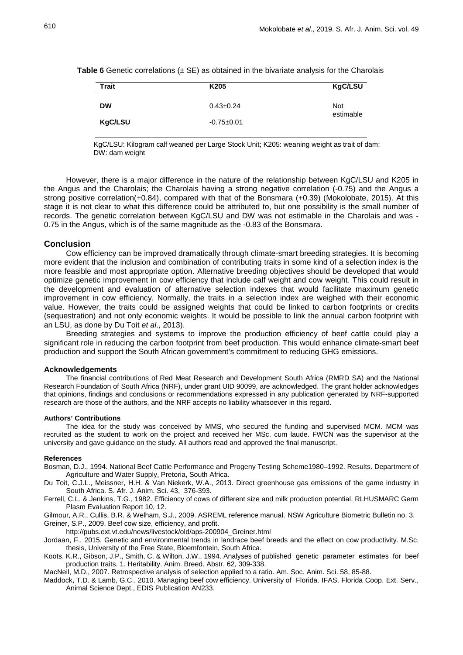| <b>Table 6</b> Genetic correlations $(\pm$ SE) as obtained in the bivariate analysis for the Charolais |  |  |  |  |
|--------------------------------------------------------------------------------------------------------|--|--|--|--|
|--------------------------------------------------------------------------------------------------------|--|--|--|--|

| Trait     | K <sub>205</sub> | KgC/LSU    |
|-----------|------------------|------------|
|           |                  |            |
| <b>DW</b> | $0.43 \pm 0.24$  | <b>Not</b> |
|           |                  | estimable  |
| KgC/LSU   | $-0.75+0.01$     |            |
|           |                  |            |

KgC/LSU: Kilogram calf weaned per Large Stock Unit; K205: weaning weight as trait of dam; DW: dam weight

However, there is a major difference in the nature of the relationship between KgC/LSU and K205 in the Angus and the Charolais; the Charolais having a strong negative correlation (-0.75) and the Angus a strong positive correlation(+0.84), compared with that of the Bonsmara (+0.39) (Mokolobate, 2015). At this stage it is not clear to what this difference could be attributed to, but one possibility is the small number of records. The genetic correlation between KgC/LSU and DW was not estimable in the Charolais and was - 0.75 in the Angus, which is of the same magnitude as the -0.83 of the Bonsmara.

#### **Conclusion**

Cow efficiency can be improved dramatically through climate-smart breeding strategies. It is becoming more evident that the inclusion and combination of contributing traits in some kind of a selection index is the more feasible and most appropriate option. Alternative breeding objectives should be developed that would optimize genetic improvement in cow efficiency that include calf weight and cow weight. This could result in the development and evaluation of alternative selection indexes that would facilitate maximum genetic improvement in cow efficiency. Normally, the traits in a selection index are weighed with their economic value. However, the traits could be assigned weights that could be linked to carbon footprints or credits (sequestration) and not only economic weights. It would be possible to link the annual carbon footprint with an LSU, as done by Du Toit *et al*., 2013).

Breeding strategies and systems to improve the production efficiency of beef cattle could play a significant role in reducing the carbon footprint from beef production. This would enhance climate-smart beef production and support the South African government's commitment to reducing GHG emissions.

#### **Acknowledgements**

The financial contributions of Red Meat Research and Development South Africa (RMRD SA) and the National Research Foundation of South Africa (NRF), under grant UID 90099, are acknowledged. The grant holder acknowledges that opinions, findings and conclusions or recommendations expressed in any publication generated by NRF-supported research are those of the authors, and the NRF accepts no liability whatsoever in this regard.

#### **Authors' Contributions**

The idea for the study was conceived by MMS, who secured the funding and supervised MCM. MCM was recruited as the student to work on the project and received her MSc. cum laude. FWCN was the supervisor at the university and gave guidance on the study. All authors read and approved the final manuscript.

#### **References**

- Bosman, D.J., 1994. National Beef Cattle Performance and Progeny Testing Scheme1980–1992. Results. Department of Agriculture and Water Supply, Pretoria, South Africa.
- Du Toit, C.J.L., Meissner, H.H. & Van Niekerk, W.A., 2013. Direct greenhouse gas emissions of the game industry in South Africa. S. Afr. J. Anim. Sci. 43, 376-393.
- Ferrell, C.L. & Jenkins, T.G., 1982. Efficiency of cows of different size and milk production potential. RLHUSMARC Germ Plasm Evaluation Report 10, 12.
- Gilmour, A.R., Cullis, B.R. & Welham, S.J., 2009. ASREML reference manual. NSW Agriculture Biometric Bulletin no. 3. Greiner, S.P., 2009. Beef cow size, efficiency, and profit.

http://pubs.ext.vt.edu/news/livestock/old/aps‐200904\_Greiner.html

- Jordaan, F., 2015. Genetic and environmental trends in landrace beef breeds and the effect on cow productivity. M.Sc. thesis, University of the Free State, Bloemfontein, South Africa.
- Koots, K.R., Gibson, J.P., Smith, C. & Wilton, J.W., 1994. Analyses of published genetic parameter estimates for beef production traits. 1. Heritability. Anim. Breed. Abstr. 62, 309-338.

MacNeil, M.D., 2007. Retrospective analysis of selection applied to a ratio. Am. Soc. Anim. Sci. 58, 85-88.

Maddock, T.D. & Lamb, G.C., 2010. Managing beef cow efficiency. University of Florida. IFAS, Florida Coop. Ext. Serv., Animal Science Dept., EDIS Publication AN233.